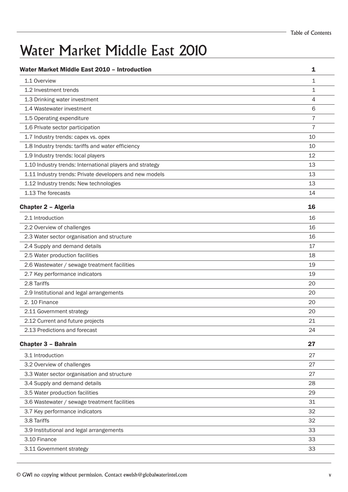# Water Market Middle East 2010

| Water Market Middle East 2010 - Introduction             | 1  |
|----------------------------------------------------------|----|
| 1.1 Overview                                             | 1  |
| 1.2 Investment trends                                    | 1  |
| 1.3 Drinking water investment                            | 4  |
| 1.4 Wastewater investment                                | 6  |
| 1.5 Operating expenditure                                | 7  |
| 1.6 Private sector participation                         | 7  |
| 1.7 Industry trends: capex vs. opex                      | 10 |
| 1.8 Industry trends: tariffs and water efficiency        | 10 |
| 1.9 Industry trends: local players                       | 12 |
| 1.10 Industry trends: International players and strategy | 13 |
| 1.11 Industry trends: Private developers and new models  | 13 |
| 1.12 Industry trends: New technologies                   | 13 |
| 1.13 The forecasts                                       | 14 |
| <b>Chapter 2 - Algeria</b>                               | 16 |
| 2.1 Introduction                                         | 16 |
| 2.2 Overview of challenges                               | 16 |
| 2.3 Water sector organisation and structure              | 16 |
| 2.4 Supply and demand details                            | 17 |
| 2.5 Water production facilities                          | 18 |
| 2.6 Wastewater / sewage treatment facilities             | 19 |
| 2.7 Key performance indicators                           | 19 |
| 2.8 Tariffs                                              | 20 |
| 2.9 Institutional and legal arrangements                 | 20 |
| 2. 10 Finance                                            | 20 |
| 2.11 Government strategy                                 | 20 |
| 2.12 Current and future projects                         | 21 |
| 2.13 Predictions and forecast                            | 24 |
| <b>Chapter 3 - Bahrain</b>                               | 27 |
| 3.1 Introduction                                         | 27 |
| 3.2 Overview of challenges                               | 27 |
| 3.3 Water sector organisation and structure              | 27 |
| 3.4 Supply and demand details                            | 28 |
| 3.5 Water production facilities                          | 29 |
| 3.6 Wastewater / sewage treatment facilities             | 31 |
| 3.7 Key performance indicators                           | 32 |
| 3.8 Tariffs                                              | 32 |
| 3.9 Institutional and legal arrangements                 | 33 |
| 3.10 Finance                                             | 33 |
| 3.11 Government strategy                                 | 33 |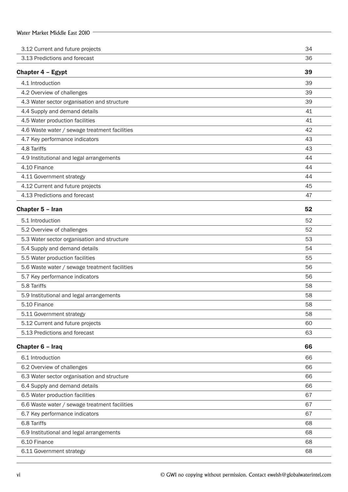| Water Market Middle East 2010                 |    |
|-----------------------------------------------|----|
| 3.12 Current and future projects              | 34 |
| 3.13 Predictions and forecast                 | 36 |
| Chapter 4 - Egypt                             | 39 |
| 4.1 Introduction                              | 39 |
| 4.2 Overview of challenges                    | 39 |
| 4.3 Water sector organisation and structure   | 39 |
| 4.4 Supply and demand details                 | 41 |
| 4.5 Water production facilities               | 41 |
| 4.6 Waste water / sewage treatment facilities | 42 |
| 4.7 Key performance indicators                | 43 |
| 4.8 Tariffs                                   | 43 |
| 4.9 Institutional and legal arrangements      | 44 |
| 4.10 Finance                                  | 44 |
| 4.11 Government strategy                      | 44 |
| 4.12 Current and future projects              | 45 |
| 4.13 Predictions and forecast                 | 47 |
| Chapter 5 - Iran                              | 52 |
| 5.1 Introduction                              | 52 |
| 5.2 Overview of challenges                    | 52 |
| 5.3 Water sector organisation and structure   | 53 |
| 5.4 Supply and demand details                 | 54 |
| 5.5 Water production facilities               | 55 |
| 5.6 Waste water / sewage treatment facilities | 56 |
| 5.7 Key performance indicators                | 56 |
| 5.8 Tariffs                                   | 58 |
| 5.9 Institutional and legal arrangements      | 58 |
| 5.10 Finance                                  | 58 |
| 5.11 Government strategy                      | 58 |
| 5.12 Current and future projects              | 60 |
| 5.13 Predictions and forecast                 | 63 |
| Chapter 6 - Iraq                              | 66 |
| 6.1 Introduction                              | 66 |
| 6.2 Overview of challenges                    | 66 |
| 6.3 Water sector organisation and structure   | 66 |
| 6.4 Supply and demand details                 | 66 |
| 6.5 Water production facilities               | 67 |
| 6.6 Waste water / sewage treatment facilities | 67 |
| 6.7 Key performance indicators                | 67 |
| 6.8 Tariffs                                   | 68 |
| 6.9 Institutional and legal arrangements      | 68 |
| 6.10 Finance                                  | 68 |
| 6.11 Government strategy                      | 68 |
|                                               |    |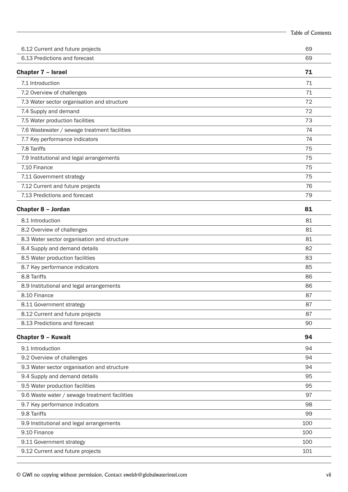|                                               | <b>Table of Contents</b> |
|-----------------------------------------------|--------------------------|
| 6.12 Current and future projects              | 69                       |
| 6.13 Predictions and forecast                 | 69                       |
| Chapter 7 - Israel                            | 71                       |
| 7.1 Introduction                              | 71                       |
| 7.2 Overview of challenges                    | 71                       |
| 7.3 Water sector organisation and structure   | 72                       |
| 7.4 Supply and demand                         | 72                       |
| 7.5 Water production facilities               | 73                       |
| 7.6 Wastewater / sewage treatment facilities  | 74                       |
| 7.7 Key performance indicators                | 74                       |
| 7.8 Tariffs                                   | 75                       |
| 7.9 Institutional and legal arrangements      | 75                       |
| 7.10 Finance                                  | 75                       |
| 7.11 Government strategy                      | 75                       |
| 7.12 Current and future projects              | 76                       |
| 7.13 Predictions and forecast                 | 79                       |
| Chapter 8 - Jordan                            | 81                       |
| 8.1 Introduction                              | 81                       |
| 8.2 Overview of challenges                    | 81                       |
| 8.3 Water sector organisation and structure   | 81                       |
| 8.4 Supply and demand details                 | 82                       |
| 8.5 Water production facilities               | 83                       |
| 8.7 Key performance indicators                | 85                       |
| 8.8 Tariffs                                   | 86                       |
| 8.9 Institutional and legal arrangements      | 86                       |
| 8.10 Finance                                  | 87                       |
| 8.11 Government strategy                      | 87                       |
| 8.12 Current and future projects              | 87                       |
| 8.13 Predictions and forecast                 | 90                       |
| <b>Chapter 9 - Kuwait</b>                     | 94                       |
| 9.1 Introduction                              | 94                       |
| 9.2 Overview of challenges                    | 94                       |
| 9.3 Water sector organisation and structure   | 94                       |
| 9.4 Supply and demand details                 | 95                       |
| 9.5 Water production facilities               | 95                       |
| 9.6 Waste water / sewage treatment facilities | 97                       |
| 9.7 Key performance indicators                | 98                       |
| 9.8 Tariffs                                   | 99                       |
| 9.9 Institutional and legal arrangements      | 100                      |
| 9.10 Finance                                  | 100                      |
| 9.11 Government strategy                      | 100                      |
| 9.12 Current and future projects              | 101                      |
|                                               |                          |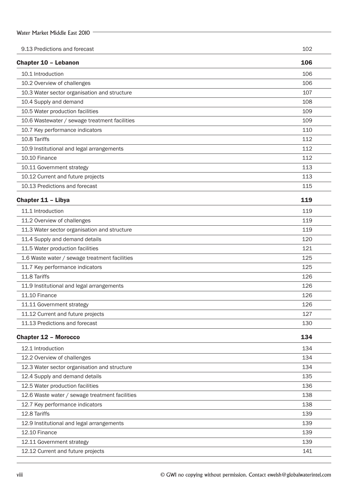| Water Market Middle East 2010                  |     |
|------------------------------------------------|-----|
| 9.13 Predictions and forecast                  | 102 |
|                                                |     |
| <b>Chapter 10 - Lebanon</b>                    | 106 |
| 10.1 Introduction                              | 106 |
| 10.2 Overview of challenges                    | 106 |
| 10.3 Water sector organisation and structure   | 107 |
| 10.4 Supply and demand                         | 108 |
| 10.5 Water production facilities               | 109 |
| 10.6 Wastewater / sewage treatment facilities  | 109 |
| 10.7 Key performance indicators                | 110 |
| 10.8 Tariffs                                   | 112 |
| 10.9 Institutional and legal arrangements      | 112 |
| 10.10 Finance                                  | 112 |
| 10.11 Government strategy                      | 113 |
| 10.12 Current and future projects              | 113 |
| 10.13 Predictions and forecast                 | 115 |
| Chapter 11 - Libya                             | 119 |
| 11.1 Introduction                              | 119 |
| 11.2 Overview of challenges                    | 119 |
| 11.3 Water sector organisation and structure   | 119 |
| 11.4 Supply and demand details                 | 120 |
| 11.5 Water production facilities               | 121 |
| 1.6 Waste water / sewage treatment facilities  | 125 |
| 11.7 Key performance indicators                | 125 |
| 11.8 Tariffs                                   | 126 |
| 11.9 Institutional and legal arrangements      | 126 |
| 11.10 Finance                                  | 126 |
| 11.11 Government strategy                      | 126 |
| 11.12 Current and future projects              | 127 |
| 11.13 Predictions and forecast                 | 130 |
| <b>Chapter 12 - Morocco</b>                    | 134 |
| 12.1 Introduction                              | 134 |
| 12.2 Overview of challenges                    | 134 |
| 12.3 Water sector organisation and structure   | 134 |
| 12.4 Supply and demand details                 | 135 |
| 12.5 Water production facilities               | 136 |
| 12.6 Waste water / sewage treatment facilities | 138 |
| 12.7 Key performance indicators                | 138 |
| 12.8 Tariffs                                   | 139 |
| 12.9 Institutional and legal arrangements      | 139 |
| 12.10 Finance                                  | 139 |
| 12.11 Government strategy                      | 139 |
| 12.12 Current and future projects              | 141 |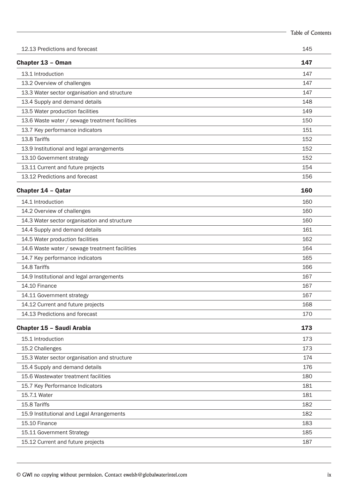|                                                | <b>Table of Contents</b> |
|------------------------------------------------|--------------------------|
| 12.13 Predictions and forecast                 | 145                      |
| Chapter 13 - Oman                              | 147                      |
| 13.1 Introduction                              | 147                      |
| 13.2 Overview of challenges                    | 147                      |
| 13.3 Water sector organisation and structure   | 147                      |
| 13.4 Supply and demand details                 | 148                      |
| 13.5 Water production facilities               | 149                      |
| 13.6 Waste water / sewage treatment facilities | 150                      |
| 13.7 Key performance indicators                | 151                      |
| 13.8 Tariffs                                   | 152                      |
| 13.9 Institutional and legal arrangements      | 152                      |
| 13.10 Government strategy                      | 152                      |
| 13.11 Current and future projects              | 154                      |
| 13.12 Predictions and forecast                 | 156                      |
| <b>Chapter 14 - Qatar</b>                      | 160                      |
| 14.1 Introduction                              | 160                      |
| 14.2 Overview of challenges                    | 160                      |
| 14.3 Water sector organisation and structure   | 160                      |
| 14.4 Supply and demand details                 | 161                      |
| 14.5 Water production facilities               | 162                      |
| 14.6 Waste water / sewage treatment facilities | 164                      |
| 14.7 Key performance indicators                | 165                      |
| 14.8 Tariffs                                   | 166                      |
| 14.9 Institutional and legal arrangements      | 167                      |
| 14.10 Finance                                  | 167                      |
| 14.11 Government strategy                      | 167                      |
| 14.12 Current and future projects              | 168                      |
| 14.13 Predictions and forecast                 | 170                      |
| Chapter 15 - Saudi Arabia                      | 173                      |
| 15.1 Introduction                              | 173                      |
| 15.2 Challenges                                | 173                      |
| 15.3 Water sector organisation and structure   | 174                      |
| 15.4 Supply and demand details                 | 176                      |
| 15.6 Wastewater treatment facilities           | 180                      |
| 15.7 Key Performance Indicators                | 181                      |
| 15.7.1 Water                                   | 181                      |
| 15.8 Tariffs                                   | 182                      |
| 15.9 Institutional and Legal Arrangements      | 182                      |
| 15.10 Finance                                  | 183                      |
| 15.11 Government Strategy                      | 185                      |
| 15.12 Current and future projects              | 187                      |
|                                                |                          |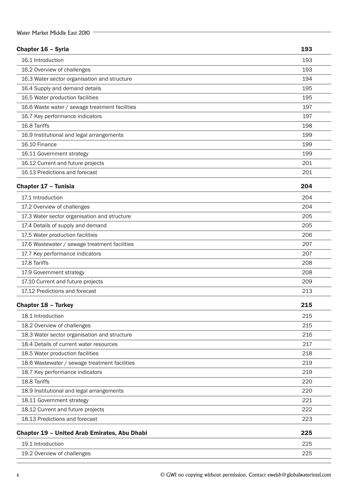### Chapter 16 – Syria 193

| VIIUPLVI IV                                         |     |
|-----------------------------------------------------|-----|
| 16.1 Introduction                                   | 193 |
| 16.2 Overview of challenges                         | 193 |
| 16.3 Water sector organisation and structure        | 194 |
| 16.4 Supply and demand details                      | 195 |
| 16.5 Water production facilities                    | 195 |
| 16.6 Waste water / sewage treatment facilities      | 197 |
| 16.7 Key performance indicators                     | 197 |
| 16.8 Tariffs                                        | 198 |
| 16.9 Institutional and legal arrangements           | 199 |
| 16.10 Finance                                       | 199 |
| 16.11 Government strategy                           | 199 |
| 16.12 Current and future projects                   | 201 |
| 16.13 Predictions and forecast                      | 201 |
| Chapter 17 - Tunisia                                | 204 |
| 17.1 Introduction                                   | 204 |
| 17.2 Overview of challenges                         | 204 |
| 17.3 Water sector organisation and structure        | 205 |
| 17.4 Details of supply and demand                   | 205 |
| 17.5 Water production facilities                    | 206 |
| 17.6 Wastewater / sewage treatment facilities       | 207 |
| 17.7 Key performance indicators                     | 207 |
| 17.8 Tariffs                                        | 208 |
| 17.9 Government strategy                            | 208 |
| 17.10 Current and future projects                   | 209 |
| 17.12 Predictions and forecast                      | 213 |
| <b>Chapter 18 - Turkey</b>                          | 215 |
| 18.1 Introduction                                   | 215 |
| 18.2 Overview of challenges                         | 215 |
| 18.3 Water sector organisation and structure        | 216 |
| 18.4 Details of current water resources             | 217 |
| 18.5 Water production facilities                    | 218 |
| 18.6 Wastewater / sewage treatment facilities       | 219 |
| 18.7 Key performance indicators                     | 219 |
| 18.8 Tariffs                                        | 220 |
| 18.9 Institutional and legal arrangements           | 220 |
| 18.11 Government strategy                           | 221 |
| 18.12 Current and future projects                   | 222 |
| 18.13 Predictions and forecast                      | 223 |
| <b>Chapter 19 - United Arab Emirates, Abu Dhabi</b> | 225 |
| 19.1 Introduction                                   | 225 |
| 19.2 Overview of challenges                         | 225 |
|                                                     |     |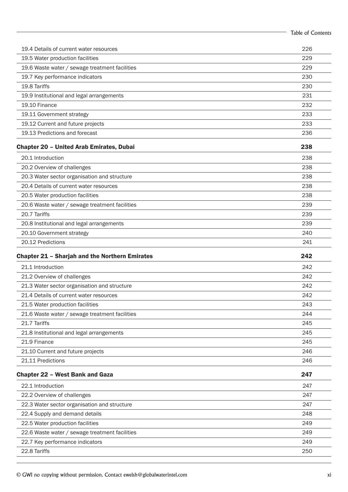|                                                       | Table of Contents |
|-------------------------------------------------------|-------------------|
| 19.4 Details of current water resources               | 226               |
| 19.5 Water production facilities                      | 229               |
| 19.6 Waste water / sewage treatment facilities        | 229               |
| 19.7 Key performance indicators                       | 230               |
| 19.8 Tariffs                                          | 230               |
| 19.9 Institutional and legal arrangements             | 231               |
| 19.10 Finance                                         | 232               |
| 19.11 Government strategy                             | 233               |
| 19.12 Current and future projects                     | 233               |
| 19.13 Predictions and forecast                        | 236               |
| <b>Chapter 20 - United Arab Emirates, Dubai</b>       | 238               |
| 20.1 Introduction                                     | 238               |
| 20.2 Overview of challenges                           | 238               |
| 20.3 Water sector organisation and structure          | 238               |
| 20.4 Details of current water resources               | 238               |
| 20.5 Water production facilities                      | 238               |
| 20.6 Waste water / sewage treatment facilities        | 239               |
| 20.7 Tariffs                                          | 239               |
| 20.8 Institutional and legal arrangements             | 239               |
| 20.10 Government strategy                             | 240               |
| 20.12 Predictions                                     | 241               |
| <b>Chapter 21 - Sharjah and the Northern Emirates</b> | 242               |
| 21.1 Introduction                                     | 242               |
| 21.2 Overview of challenges                           | 242               |
| 21.3 Water sector organisation and structure          | 242               |
| 21.4 Details of current water resources               | 242               |
| 21.5 Water production facilities                      | 243               |
| 21.6 Waste water / sewage treatment facilities        | 244               |
| 21.7 Tariffs                                          | 245               |
| 21.8 Institutional and legal arrangements             | 245               |
| 21.9 Finance                                          | 245               |
| 21.10 Current and future projects                     | 246               |
| 21.11 Predictions                                     | 246               |
| <b>Chapter 22 - West Bank and Gaza</b>                | 247               |
| 22.1 Introduction                                     | 247               |
| 22.2 Overview of challenges                           | 247               |
| 22.3 Water sector organisation and structure          | 247               |
| 22.4 Supply and demand details                        | 248               |
| 22.5 Water production facilities                      | 249               |
| 22.6 Waste water / sewage treatment facilities        | 249               |
| 22.7 Key performance indicators                       | 249               |
| 22.8 Tariffs                                          | 250               |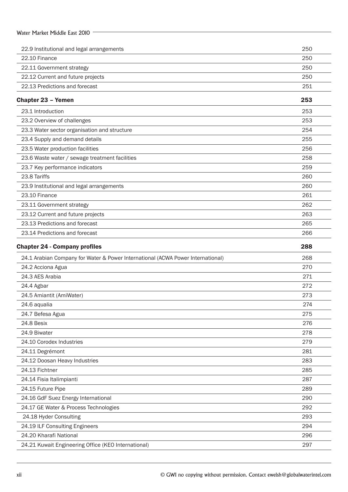| Water Market Middle East 2010                                                   |     |
|---------------------------------------------------------------------------------|-----|
| 22.9 Institutional and legal arrangements                                       | 250 |
| 22.10 Finance                                                                   | 250 |
| 22.11 Government strategy                                                       | 250 |
| 22.12 Current and future projects                                               | 250 |
| 22.13 Predictions and forecast                                                  | 251 |
| <b>Chapter 23 - Yemen</b>                                                       | 253 |
| 23.1 Introduction                                                               | 253 |
| 23.2 Overview of challenges                                                     | 253 |
| 23.3 Water sector organisation and structure                                    | 254 |
| 23.4 Supply and demand details                                                  | 255 |
| 23.5 Water production facilities                                                | 256 |
| 23.6 Waste water / sewage treatment facilities                                  | 258 |
| 23.7 Key performance indicators                                                 | 259 |
| 23.8 Tariffs                                                                    | 260 |
| 23.9 Institutional and legal arrangements                                       | 260 |
| 23.10 Finance                                                                   | 261 |
| 23.11 Government strategy                                                       | 262 |
| 23.12 Current and future projects                                               | 263 |
| 23.13 Predictions and forecast                                                  | 265 |
| 23.14 Predictions and forecast                                                  | 266 |
| <b>Chapter 24 - Company profiles</b>                                            | 288 |
| 24.1 Arabian Company for Water & Power International (ACWA Power International) | 268 |
| 24.2 Acciona Agua                                                               | 270 |
| 24.3 AES Arabia                                                                 | 271 |
| 24.4 Agbar                                                                      | 272 |
| 24.5 Amiantit (AmiWater)                                                        | 273 |
| 24.6 aqualia                                                                    | 274 |
| 24.7 Befesa Agua                                                                | 275 |
| 24.8 Besix                                                                      | 276 |
| 24.9 Biwater                                                                    | 278 |
| 24.10 Corodex Industries                                                        | 279 |
| 24.11 Degrémont                                                                 | 281 |
| 24.12 Doosan Heavy Industries                                                   | 283 |
| 24.13 Fichtner                                                                  | 285 |
| 24.14 Fisia Italimpianti                                                        | 287 |
| 24.15 Future Pipe                                                               | 289 |
| 24.16 GdF Suez Energy International                                             | 290 |
| 24.17 GE Water & Process Technologies                                           | 292 |
| 24.18 Hyder Consulting                                                          | 293 |
| 24.19 ILF Consulting Engineers                                                  | 294 |
| 24.20 Kharafi National                                                          | 296 |
|                                                                                 |     |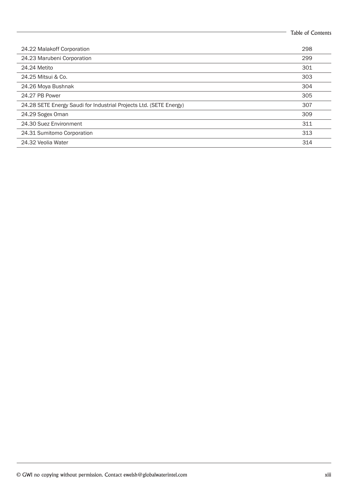| 298<br>24.22 Malakoff Corporation<br>24.23 Marubeni Corporation<br>299<br>24.24 Metito<br>301<br>24.25 Mitsui & Co.<br>303<br>304<br>24.26 Moya Bushnak<br>24.27 PB Power<br>305<br>24.28 SETE Energy Saudi for Industrial Projects Ltd. (SETE Energy)<br>307<br>24.29 Sogex Oman<br>309 |
|------------------------------------------------------------------------------------------------------------------------------------------------------------------------------------------------------------------------------------------------------------------------------------------|
|                                                                                                                                                                                                                                                                                          |
|                                                                                                                                                                                                                                                                                          |
|                                                                                                                                                                                                                                                                                          |
|                                                                                                                                                                                                                                                                                          |
|                                                                                                                                                                                                                                                                                          |
|                                                                                                                                                                                                                                                                                          |
|                                                                                                                                                                                                                                                                                          |
|                                                                                                                                                                                                                                                                                          |
| 24.30 Suez Environment<br>311                                                                                                                                                                                                                                                            |
| 313<br>24.31 Sumitomo Corporation                                                                                                                                                                                                                                                        |
| 24.32 Veolia Water<br>314                                                                                                                                                                                                                                                                |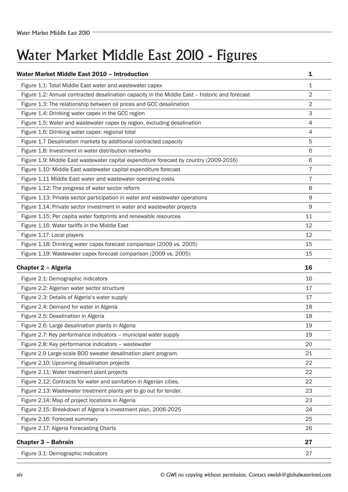## Water Market Middle East 2010 - Figures

| Water Market Middle East 2010 - Introduction                                                   | 1              |
|------------------------------------------------------------------------------------------------|----------------|
| Figure 1.1: Total Middle East water and wastewater capex                                       | 1              |
| Figure 1.2: Annual contracted desalination capacity in the Middle East - historic and forecast | 2              |
| Figure 1.3: The relationship between oil prices and GCC desalination                           | $\overline{2}$ |
| Figure 1.4: Drinking water capex in the GCC region                                             | 3              |
| Figure 1.5: Water and wastewater capex by region, excluding desalination                       | 4              |
| Figure 1.6: Drinking water capex: regional total                                               | 4              |
| Figure 1.7 Desalination markets by additional contracted capacity                              | 5              |
| Figure 1.8: Investment in water distribution networks                                          | 6              |
| Figure 1.9: Middle East wastewater capital expenditure forecast by country (2009-2016)         | 6              |
| Figure 1.10: Middle East wastewater capital expenditure forecast                               | 7              |
| Figure 1.11 Middle East water and wastewater operating costs                                   | 7              |
| Figure 1.12: The progress of water sector reform                                               | 8              |
| Figure 1.13: Private sector participation in water and wastewater operations                   | 9              |
| Figure 1.14: Private sector investment in water and wastewater projects                        | 9              |
| Figure 1.15: Per capita water footprints and renewable resources                               | 11             |
| Figure 1.16: Water tariffs in the Middle East                                                  | 12             |
| Figure 1.17: Local players                                                                     | 12             |
| Figure 1.18: Drinking water capex forecast comparison (2009 vs. 2005)                          | 15             |
| Figure 1.19: Wastewater capex forecast comparison (2009 vs. 2005)                              | 15             |
| <b>Chapter 2 - Algeria</b>                                                                     | 16             |
| Figure 2.1: Demographic indicators                                                             | 16             |
| Figure 2.2: Algerian water sector structure                                                    | 17             |
| Figure 2.3: Details of Algeria's water supply                                                  | 17             |
| Figure 2.4: Demand for water in Algeria                                                        | 18             |
| Figure 2.5: Desalination in Algeria                                                            | 18             |
| Figure 2.6: Large desalination plants in Algeria                                               | 19             |
| Figure 2.7: Key performance indicators - municipal water supply                                | 19             |
| Figure 2.8: Key performance indicators - wastewater                                            | 20             |
| Figure 2.9 Large-scale BOO sweater desalination plant program.                                 | 21             |
| Figure 2.10: Upcoming desalination projects                                                    | 22             |
| Figure 2.11: Water treatment plant projects                                                    | 22             |
| Figure 2.12: Contracts for water and sanitation in Algerian cities.                            | 22             |
| Figure 2.13: Wastewater treatment plants yet to go out for tender.                             | 23             |
| Figure 2.14: Map of project locations in Algeria                                               | 23             |
|                                                                                                | 24             |
| Figure 2.15: Breakdown of Algeria's investment plan, 2006-2025                                 |                |
| Figure 2.16: Forecast summary                                                                  | 25             |
| Figure 2.17: Algeria Forecasting Charts                                                        | 26             |
| <b>Chapter 3 - Bahrain</b>                                                                     | 27             |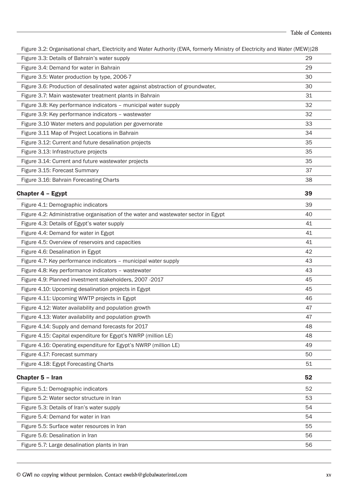| Figure 3.2: Organisational chart, Electricity and Water Authority (EWA, formerly Ministry of Electricity and Water (MEW))28 |    |
|-----------------------------------------------------------------------------------------------------------------------------|----|
| Figure 3.3: Details of Bahrain's water supply                                                                               | 29 |
| Figure 3.4: Demand for water in Bahrain                                                                                     | 29 |
| Figure 3.5: Water production by type, 2006-7                                                                                | 30 |
| Figure 3.6: Production of desalinated water against abstraction of groundwater,                                             | 30 |
| Figure 3.7: Main wastewater treatment plants in Bahrain                                                                     | 31 |
| Figure 3.8: Key performance indicators - municipal water supply                                                             | 32 |
| Figure 3.9: Key performance indicators - wastewater                                                                         | 32 |
| Figure 3.10 Water meters and population per governorate                                                                     | 33 |
| Figure 3.11 Map of Project Locations in Bahrain                                                                             | 34 |
| Figure 3.12: Current and future desalination projects                                                                       | 35 |
| Figure 3.13: Infrastructure projects                                                                                        | 35 |
| Figure 3.14: Current and future wastewater projects                                                                         | 35 |
| Figure 3.15: Forecast Summary                                                                                               | 37 |
| Figure 3.16: Bahrain Forecasting Charts                                                                                     | 38 |
| Chapter 4 - Egypt                                                                                                           | 39 |
| Figure 4.1: Demographic indicators                                                                                          | 39 |
| Figure 4.2: Administrative organisation of the water and wastewater sector in Egypt                                         | 40 |
| Figure 4.3: Details of Egypt's water supply                                                                                 | 41 |
| Figure 4.4: Demand for water in Egypt                                                                                       | 41 |
| Figure 4.5: Overview of reservoirs and capacities                                                                           | 41 |
| Figure 4.6: Desalination in Egypt                                                                                           | 42 |
| Figure 4.7: Key performance indicators - municipal water supply                                                             | 43 |
| Figure 4.8: Key performance indicators - wastewater                                                                         | 43 |
| Figure 4.9: Planned investment stakeholders, 2007 -2017                                                                     | 45 |
| Figure 4.10: Upcoming desalination projects in Egypt                                                                        | 45 |
| Figure 4.11: Upcoming WWTP projects in Egypt                                                                                | 46 |
| Figure 4.12: Water availability and population growth                                                                       | 47 |
| Figure 4.13: Water availability and population growth                                                                       | 47 |
| Figure 4.14: Supply and demand forecasts for 2017                                                                           | 48 |
| Figure 4.15: Capital expenditure for Egypt's NWRP (million LE)                                                              | 48 |
| Figure 4.16: Operating expenditure for Egypt's NWRP (million LE)                                                            | 49 |
| Figure 4.17: Forecast summary                                                                                               | 50 |
| Figure 4.18: Egypt Forecasting Charts                                                                                       | 51 |
| Chapter 5 - Iran                                                                                                            | 52 |
| Figure 5.1: Demographic indicators                                                                                          | 52 |
| Figure 5.2: Water sector structure in Iran                                                                                  | 53 |
| Figure 5.3: Details of Iran's water supply                                                                                  | 54 |
| Figure 5.4: Demand for water in Iran                                                                                        | 54 |
| Figure 5.5: Surface water resources in Iran                                                                                 | 55 |
| Figure 5.6: Desalination in Iran                                                                                            | 56 |
| Figure 5.7: Large desalination plants in Iran                                                                               | 56 |
|                                                                                                                             |    |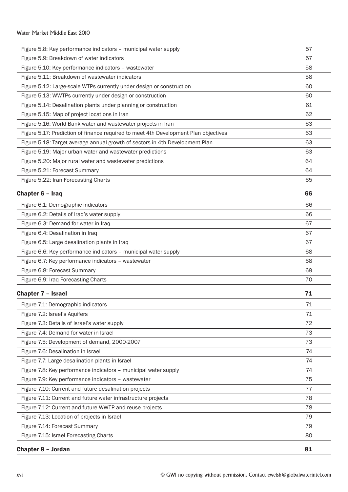#### Water Market Middle East 2010 -

| Figure 5.8: Key performance indicators - municipal water supply                                                  | 57 |
|------------------------------------------------------------------------------------------------------------------|----|
| Figure 5.9: Breakdown of water indicators                                                                        | 57 |
| Figure 5.10: Key performance indicators - wastewater                                                             | 58 |
| Figure 5.11: Breakdown of wastewater indicators                                                                  | 58 |
| Figure 5.12: Large-scale WTPs currently under design or construction                                             | 60 |
| Figure 5.13: WWTPs currently under design or construction                                                        | 60 |
| Figure 5.14: Desalination plants under planning or construction                                                  | 61 |
| Figure 5.15: Map of project locations in Iran                                                                    | 62 |
| Figure 5.16: World Bank water and wastewater projects in Iran                                                    | 63 |
| Figure 5.17: Prediction of finance required to meet 4th Development Plan objectives                              | 63 |
| Figure 5.18: Target average annual growth of sectors in 4th Development Plan                                     | 63 |
| Figure 5.19: Major urban water and wastewater predictions                                                        | 63 |
| Figure 5.20: Major rural water and wastewater predictions                                                        | 64 |
| Figure 5.21: Forecast Summary                                                                                    | 64 |
| Figure 5.22: Iran Forecasting Charts                                                                             | 65 |
| Chapter 6 - Iraq                                                                                                 | 66 |
|                                                                                                                  | 66 |
| Figure 6.1: Demographic indicators                                                                               | 66 |
| Figure 6.2: Details of Iraq's water supply<br>Figure 6.3: Demand for water in Iraq                               | 67 |
| Figure 6.4: Desalination in Iraq                                                                                 | 67 |
|                                                                                                                  | 67 |
| Figure 6.5: Large desalination plants in Iraq<br>Figure 6.6: Key performance indicators - municipal water supply | 68 |
| Figure 6.7: Key performance indicators - wastewater                                                              | 68 |
| Figure 6.8: Forecast Summary                                                                                     | 69 |
|                                                                                                                  | 70 |
| Figure 6.9: Iraq Forecasting Charts                                                                              |    |
| <b>Chapter 7 - Israel</b>                                                                                        | 71 |
| Figure 7.1: Demographic indicators                                                                               | 71 |
| Figure 7.2: Israel's Aquifers                                                                                    | 71 |
| Figure 7.3: Details of Israel's water supply                                                                     | 72 |
| Figure 7.4: Demand for water in Israel                                                                           | 73 |
| Figure 7.5: Development of demand, 2000-2007                                                                     | 73 |
| Figure 7.6: Desalination in Israel                                                                               | 74 |
| Figure 7.7: Large desalination plants in Israel                                                                  | 74 |
| Figure 7.8: Key performance indicators - municipal water supply                                                  | 74 |
| Figure 7.9: Key performance indicators - wastewater                                                              | 75 |
| Figure 7.10: Current and future desalination projects                                                            | 77 |
| Figure 7.11: Current and future water infrastructure projects                                                    | 78 |
| Figure 7.12: Current and future WWTP and reuse projects                                                          | 78 |
| Figure 7.13: Location of projects in Israel                                                                      | 79 |
| Figure 7.14: Forecast Summary                                                                                    | 79 |
| Figure 7.15: Israel Forecasting Charts                                                                           | 80 |
| <b>Chapter 8 - Jordan</b>                                                                                        | 81 |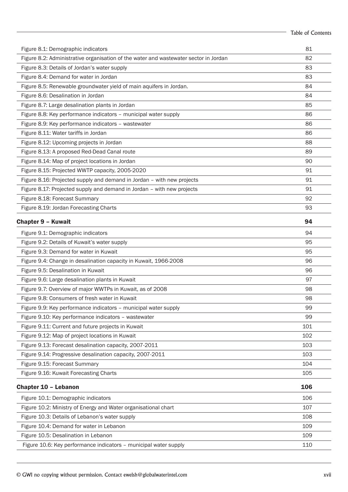|                                                                                      | <b>Table of Contents</b> |
|--------------------------------------------------------------------------------------|--------------------------|
| Figure 8.1: Demographic indicators                                                   | 81                       |
| Figure 8.2: Administrative organisation of the water and wastewater sector in Jordan | 82                       |
| Figure 8.3: Details of Jordan's water supply                                         | 83                       |
| Figure 8.4: Demand for water in Jordan                                               | 83                       |
| Figure 8.5: Renewable groundwater yield of main aquifers in Jordan.                  | 84                       |
| Figure 8.6: Desalination in Jordan                                                   | 84                       |
| Figure 8.7: Large desalination plants in Jordan                                      | 85                       |
| Figure 8.8: Key performance indicators - municipal water supply                      | 86                       |
| Figure 8.9: Key performance indicators - wastewater                                  | 86                       |
| Figure 8.11: Water tariffs in Jordan                                                 | 86                       |
| Figure 8.12: Upcoming projects in Jordan                                             | 88                       |
| Figure 8.13: A proposed Red-Dead Canal route                                         | 89                       |
| Figure 8.14: Map of project locations in Jordan                                      | 90                       |
| Figure 8.15: Projected WWTP capacity, 2005-2020                                      | 91                       |
| Figure 8.16: Projected supply and demand in Jordan - with new projects               | 91                       |
| Figure 8.17: Projected supply and demand in Jordan - with new projects               | 91                       |
| Figure 8.18: Forecast Summary                                                        | 92                       |
| Figure 8.19: Jordan Forecasting Charts                                               | 93                       |
| <b>Chapter 9 - Kuwait</b>                                                            | 94                       |
| Figure 9.1: Demographic indicators                                                   | 94                       |
| Figure 9.2: Details of Kuwait's water supply                                         | 95                       |
| Figure 9.3: Demand for water in Kuwait                                               | 95                       |
| Figure 9.4: Change in desalination capacity in Kuwait, 1966-2008                     | 96                       |
| Figure 9.5: Desalination in Kuwait                                                   | 96                       |
| Figure 9.6: Large desalination plants in Kuwait                                      | 97                       |
| Figure 9.7: Overview of major WWTPs in Kuwait, as of 2008                            | 98                       |
| Figure 9.8: Consumers of fresh water in Kuwait                                       | 98                       |
| Figure 9.9: Key performance indicators - municipal water supply                      | 99                       |
| Figure 9.10: Key performance indicators - wastewater                                 | 99                       |
| Figure 9.11: Current and future projects in Kuwait                                   | 101                      |
| Figure 9.12: Map of project locations in Kuwait                                      | 102                      |
| Figure 9.13: Forecast desalination capacity, 2007-2011                               | 103                      |
| Figure 9.14: Progressive desalination capacity, 2007-2011                            | 103                      |
| Figure 9.15: Forecast Summary                                                        | 104                      |
| Figure 9.16: Kuwait Forecasting Charts                                               | 105                      |
| Chapter 10 - Lebanon                                                                 | 106                      |
| Figure 10.1: Demographic indicators                                                  | 106                      |
| Figure 10.2: Ministry of Energy and Water organisational chart                       | 107                      |
| Figure 10.3: Details of Lebanon's water supply                                       | 108                      |
| Figure 10.4: Demand for water in Lebanon                                             | 109                      |
| Figure 10.5: Desalination in Lebanon                                                 | 109                      |
| Figure 10.6: Key performance indicators - municipal water supply                     | 110                      |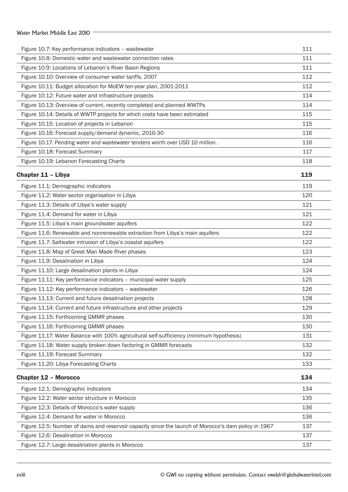### Water Market Middle East 2010 Figure 10.7: Key performance indicators – wastewater 111 Figure 10.8: Domestic water and wastewater connection rates 111 Figure 10.9: Locations of Lebanon's River Basin Regions 111 Figure 10.10: Overview of consumer water tariffs, 2007 Figure 10.11: Budget allocation for MoEW ten-year plan, 2001-2011 Figure 10.12: Future water and infrastructure projects 114 Figure 10.13: Overview of current, recently completed and planned WWTPs 114 Figure 10.14: Details of WWTP projects for which costs have been estimated 115 Figure 10.15: Location of projects in Lebanon 115 Figure 10.16: Forecast supply/demand dynamic, 2010-30 116 116 Figure 10.17: Pending water and wastewater tenders worth over USD 10 million. 116 Figure 10.18: Forecast Summary 117 Figure 10.19: Lebanon Forecasting Charts 118 Chapter 11 – Libya 119 Figure 11.1: Demographic indicators 119 Figure 11.2: Water sector organisation in Libya 120 Figure 11.3: Details of Libya's water supply 121 Figure 11.4: Demand for water in Libya 121 Figure 11.5: Libya's main groundwater aquifers 122 Figure 11.6: Renewable and nonrenewable extraction from Libya's main aquifers 122 Figure 11.7: Saltwater intrusion of Libya's coastal aquifers 122 Figure 11.8: Map of Great Man Made River phases 123 Figure 11.9: Desalination in Libya 124 Figure 11.10: Large desalination plants in Libya 124 Figure 11.11: Key performance indicators – municipal water supply 125 Figure 11.12: Key performance indicators – wastewater 126 Figure 11.13: Current and future desalination projects 128 Figure 11.14: Current and future infrastructure and other projects 129 Figure 11.15: Forthcoming GMMR phases 130 Figure 11.16: Forthcoming GMMR phases 130 Figure 11.17: Water Balance with 100% agricultural self-sufficiency (minimum hypothesis) 131 Figure 11.18: Water supply broken down factoring in GMMR forecasts 132 Figure 11.19: Forecast Summary 132 Figure 11.20: Libya Forecasting Charts 133 Chapter 12 – Morocco 234 Figure 12.1: Demographic indicators 134 Figure 12.2: Water sector structure in Morocco 135 Figure 12.3: Details of Morocco's water supply 136 Figure 12.4: Demand for water in Morocco 136 Figure 12.5: Number of dams and reservoir capacity since the launch of Morocco's dam policy in 1967 137 Figure 12.6: Desalination in Morocco 137 Figure 12.7: Large desalination plants in Morocco 137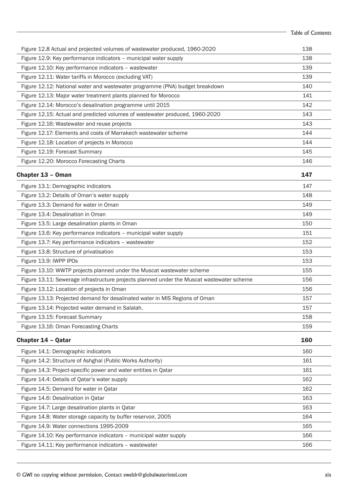|                                                                                           | <b>Table of Contents</b> |
|-------------------------------------------------------------------------------------------|--------------------------|
| Figure 12.8 Actual and projected volumes of wastewater produced, 1960-2020                | 138                      |
| Figure 12.9: Key performance indicators - municipal water supply                          | 138                      |
| Figure 12.10: Key performance indicators - wastewater                                     | 139                      |
| Figure 12.11: Water tariffs in Morocco (excluding VAT)                                    | 139                      |
| Figure 12.12: National water and wastewater programme (PNA) budget breakdown              | 140                      |
| Figure 12.13: Major water treatment plants planned for Morocco                            | 141                      |
| Figure 12.14: Morocco's desalination programme until 2015                                 | 142                      |
| Figure 12.15: Actual and predicted volumes of wastewater produced, 1960-2020              | 143                      |
| Figure 12.16: Wastewater and reuse projects                                               | 143                      |
| Figure 12.17: Elements and costs of Marrakech wastewater scheme                           | 144                      |
| Figure 12.18: Location of projects in Morocco                                             | 144                      |
| Figure 12.19: Forecast Summary                                                            | 145                      |
| Figure 12.20: Morocco Forecasting Charts                                                  | 146                      |
| Chapter 13 - Oman                                                                         | 147                      |
| Figure 13.1: Demographic indicators                                                       | 147                      |
| Figure 13.2: Details of Oman's water supply                                               | 148                      |
| Figure 13.3: Demand for water in Oman                                                     | 149                      |
| Figure 13.4: Desalination in Oman                                                         | 149                      |
| Figure 13.5: Large desalination plants in Oman                                            | 150                      |
| Figure 13.6: Key performance indicators - municipal water supply                          | 151                      |
| Figure 13.7: Key performance indicators - wastewater                                      | 152                      |
| Figure 13.8: Structure of privatisation                                                   | 153                      |
| Figure 13.9: IWPP IPOs                                                                    | 153                      |
| Figure 13.10: WWTP projects planned under the Muscat wastewater scheme                    | 155                      |
| Figure 13.11: Sewerage infrastructure projects planned under the Muscat wastewater scheme | 156                      |
| Figure 13.12: Location of projects in Oman                                                | 156                      |
| Figure 13.13: Projected demand for desalinated water in MIS Regions of Oman               | 157                      |
| Figure 13.14: Projected water demand in Salalah.                                          | 157                      |
| Figure 13.15: Forecast Summary                                                            | 158                      |
| Figure 13.16: Oman Forecasting Charts                                                     | 159                      |
| Chapter 14 - Qatar                                                                        | 160                      |
| Figure 14.1: Demographic indicators                                                       | 160                      |
| Figure 14.2: Structure of Ashghal (Public Works Authority)                                | 161                      |
| Figure 14.3: Project-specific power and water entities in Qatar                           | 161                      |
| Figure 14.4: Details of Qatar's water supply                                              | 162                      |
| Figure 14.5: Demand for water in Qatar                                                    | 162                      |
| Figure 14.6: Desalination in Qatar                                                        | 163                      |
| Figure 14.7: Large desalination plants in Qatar                                           | 163                      |
| Figure 14.8: Water storage capacity by buffer reservoir, 2005                             | 164                      |
| Figure 14.9: Water connections 1995-2009                                                  | 165                      |
| Figure 14.10: Key performance indicators - municipal water supply                         | 166                      |
| Figure 14.11: Key performance indicators - wastewater                                     | 166                      |
|                                                                                           |                          |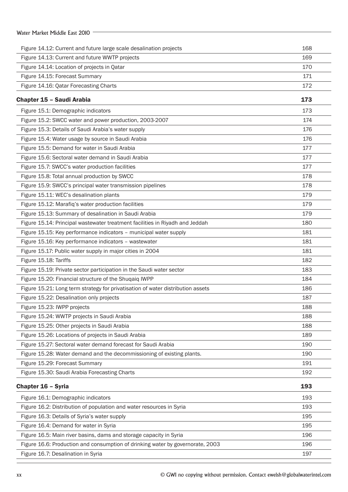| Water Market Middle East 2010                                                                                        |            |
|----------------------------------------------------------------------------------------------------------------------|------------|
|                                                                                                                      |            |
| Figure 14.12: Current and future large scale desalination projects<br>Figure 14.13: Current and future WWTP projects | 168<br>169 |
| Figure 14.14: Location of projects in Qatar                                                                          | 170        |
| Figure 14.15: Forecast Summary                                                                                       | 171        |
| Figure 14.16: Qatar Forecasting Charts                                                                               | 172        |
|                                                                                                                      |            |
| <b>Chapter 15 - Saudi Arabia</b>                                                                                     | 173        |
| Figure 15.1: Demographic indicators                                                                                  | 173        |
| Figure 15.2: SWCC water and power production, 2003-2007                                                              | 174        |
| Figure 15.3: Details of Saudi Arabia's water supply                                                                  | 176        |
| Figure 15.4: Water usage by source in Saudi Arabia                                                                   | 176        |
| Figure 15.5: Demand for water in Saudi Arabia                                                                        | 177        |
| Figure 15.6: Sectoral water demand in Saudi Arabia                                                                   | 177        |
| Figure 15.7: SWCC's water production facilities                                                                      | 177        |
| Figure 15.8: Total annual production by SWCC                                                                         | 178        |
| Figure 15.9: SWCC's principal water transmission pipelines                                                           | 178        |
| Figure 15.11: WEC's desalination plants                                                                              | 179        |
| Figure 15.12: Marafiq's water production facilities                                                                  | 179        |
| Figure 15.13: Summary of desalination in Saudi Arabia                                                                | 179        |
| Figure 15.14: Principal wastewater treatment facilities in Riyadh and Jeddah                                         | 180        |
| Figure 15.15: Key performance indicators - municipal water supply                                                    | 181        |
| Figure 15.16: Key performance indicators - wastewater                                                                | 181        |
| Figure 15.17: Public water supply in major cities in 2004                                                            | 181        |
| Figure 15.18: Tariffs                                                                                                | 182        |
| Figure 15.19: Private sector participation in the Saudi water sector                                                 | 183        |
| Figure 15.20: Financial structure of the Shugaig IWPP                                                                | 184        |
| Figure 15.21: Long term strategy for privatisation of water distribution assets                                      | 186        |
| Figure 15.22: Desalination only projects                                                                             | 187        |
| Figure 15.23: IWPP projects                                                                                          | 188        |
| Figure 15.24: WWTP projects in Saudi Arabia                                                                          | 188        |
| Figure 15.25: Other projects in Saudi Arabia                                                                         | 188        |
| Figure 15.26: Locations of projects in Saudi Arabia                                                                  | 189        |
| Figure 15.27: Sectoral water demand forecast for Saudi Arabia                                                        | 190        |
| Figure 15.28: Water demand and the decommissioning of existing plants.                                               | 190        |
| Figure 15.29: Forecast Summary                                                                                       | 191        |
| Figure 15.30: Saudi Arabia Forecasting Charts                                                                        | 192        |
| Chapter 16 - Syria                                                                                                   | 193        |
| Figure 16.1: Demographic indicators                                                                                  | 193        |
| Figure 16.2: Distribution of population and water resources in Syria                                                 | 193        |
| Figure 16.3: Details of Syria's water supply                                                                         | 195        |
| Figure 16.4: Demand for water in Syria                                                                               | 195        |
| Figure 16.5: Main river basins, dams and storage capacity in Syria                                                   | 196        |
| Figure 16.6: Production and consumption of drinking water by governorate, 2003                                       | 196        |
| Figure 16.7: Desalination in Syria                                                                                   | 197        |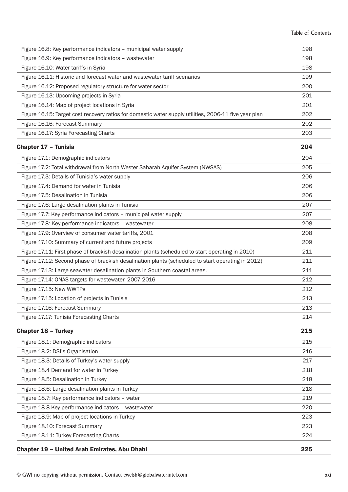|                                                                                                       | Table of Contents |
|-------------------------------------------------------------------------------------------------------|-------------------|
| Figure 16.8: Key performance indicators - municipal water supply                                      | 198               |
| Figure 16.9: Key performance indicators - wastewater                                                  | 198               |
| Figure 16.10: Water tariffs in Syria                                                                  | 198               |
| Figure 16.11: Historic and forecast water and wastewater tariff scenarios                             | 199               |
| Figure 16.12: Proposed regulatory structure for water sector                                          | 200               |
| Figure 16.13: Upcoming projects in Syria                                                              | 201               |
| Figure 16.14: Map of project locations in Syria                                                       | 201               |
| Figure 16.15: Target cost recovery ratios for domestic water supply utilities, 2006-11 five year plan | 202               |
| Figure 16.16: Forecast Summary                                                                        | 202               |
| Figure 16.17: Syria Forecasting Charts                                                                | 203               |
| Chapter 17 - Tunisia                                                                                  | 204               |
| Figure 17.1: Demographic indicators                                                                   | 204               |
| Figure 17.2: Total withdrawal from North Wester Saharah Aquifer System (NWSAS)                        | 205               |
| Figure 17.3: Details of Tunisia's water supply                                                        | 206               |
| Figure 17.4: Demand for water in Tunisia                                                              | 206               |
| Figure 17.5: Desalination in Tunisia                                                                  | 206               |
| Figure 17.6: Large desalination plants in Tunisia                                                     | 207               |
| Figure 17.7: Key performance indicators - municipal water supply                                      | 207               |
| Figure 17.8: Key performance indicators - wastewater                                                  | 208               |
| Figure 17.9: Overview of consumer water tariffs, 2001                                                 | 208               |
| Figure 17.10: Summary of current and future projects                                                  | 209               |
| Figure 17.11: First phase of brackish desalination plants (scheduled to start operating in 2010)      | 211               |
| Figure 17.12: Second phase of brackish desalination plants (scheduled to start operating in 2012)     | 211               |
| Figure 17.13: Large seawater desalination plants in Southern coastal areas.                           | 211               |
| Figure 17.14: ONAS targets for wastewater, 2007-2016                                                  | 212               |
| Figure 17.15: New WWTPs                                                                               | 212               |
| Figure 17.15: Location of projects in Tunisia                                                         | 213               |
| Figure 17.16: Forecast Summary                                                                        | 213               |
| Figure 17.17: Tunisia Forecasting Charts                                                              | 214               |
| <b>Chapter 18 - Turkey</b>                                                                            | 215               |
| Figure 18.1: Demographic indicators                                                                   | 215               |
| Figure 18.2: DSI's Organisation                                                                       | 216               |
| Figure 18.3: Details of Turkey's water supply                                                         | 217               |
| Figure 18.4 Demand for water in Turkey                                                                | 218               |
| Figure 18.5: Desalination in Turkey                                                                   | 218               |
| Figure 18.6: Large desalination plants in Turkey                                                      | 218               |
| Figure 18.7: Key performance indicators - water                                                       | 219               |
| Figure 18.8 Key performance indicators - wastewater                                                   | 220               |
| Figure 18.9: Map of project locations in Turkey                                                       | 223               |
| Figure 18.10: Forecast Summary                                                                        | 223               |
| Figure 18.11: Turkey Forecasting Charts                                                               | 224               |
| <b>Chapter 19 - United Arab Emirates, Abu Dhabi</b>                                                   | 225               |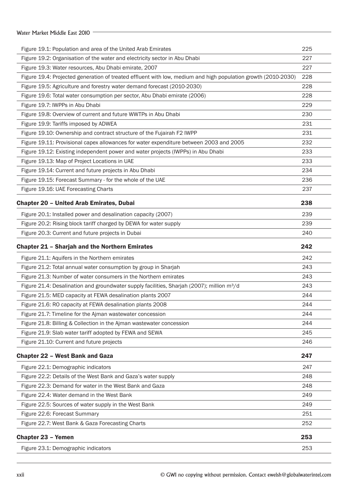#### Water Market Middle East 2010 -

| Figure 19.1: Population and area of the United Arab Emirates                                                  | 225 |
|---------------------------------------------------------------------------------------------------------------|-----|
| Figure 19.2: Organisation of the water and electricity sector in Abu Dhabi                                    | 227 |
| Figure 19.3: Water resources, Abu Dhabi emirate, 2007                                                         | 227 |
| Figure 19.4: Projected generation of treated effluent with low, medium and high population growth (2010-2030) | 228 |
| Figure 19.5: Agriculture and forestry water demand forecast (2010-2030)                                       | 228 |
| Figure 19.6: Total water consumption per sector, Abu Dhabi emirate (2006)                                     | 228 |
| Figure 19.7: IWPPs in Abu Dhabi                                                                               | 229 |
| Figure 19.8: Overview of current and future WWTPs in Abu Dhabi                                                | 230 |
| Figure 19.9: Tariffs imposed by ADWEA                                                                         | 231 |
| Figure 19.10: Ownership and contract structure of the Fujairah F2 IWPP                                        | 231 |
| Figure 19.11: Provisional capex allowances for water expenditure between 2003 and 2005                        | 232 |
| Figure 19.12: Existing independent power and water projects (IWPPs) in Abu Dhabi                              | 233 |
| Figure 19.13: Map of Project Locations in UAE                                                                 | 233 |
| Figure 19.14: Current and future projects in Abu Dhabi                                                        | 234 |
| Figure 19.15: Forecast Summary - for the whole of the UAE                                                     | 236 |
| Figure 19.16: UAE Forecasting Charts                                                                          | 237 |
| <b>Chapter 20 - United Arab Emirates, Dubai</b>                                                               | 238 |
| Figure 20.1: Installed power and desalination capacity (2007)                                                 | 239 |
| Figure 20.2: Rising block tariff charged by DEWA for water supply                                             | 239 |
| Figure 20.3: Current and future projects in Dubai                                                             | 240 |
|                                                                                                               |     |
| <b>Chapter 21 - Sharjah and the Northern Emirates</b>                                                         | 242 |
| Figure 21.1: Aquifers in the Northern emirates                                                                | 242 |
| Figure 21.2: Total annual water consumption by group in Sharjah                                               | 243 |
| Figure 21.3: Number of water consumers in the Northern emirates                                               | 243 |
| Figure 21.4: Desalination and groundwater supply facilities, Sharjah (2007); million m <sup>3</sup> /d        | 243 |
| Figure 21.5: MED capacity at FEWA desalination plants 2007                                                    | 244 |
| Figure 21.6: RO capacity at FEWA desalination plants 2008                                                     | 244 |
| Figure 21.7: Timeline for the Ajman wastewater concession                                                     | 244 |
| Figure 21.8: Billing & Collection in the Ajman wastewater concession                                          | 244 |
| Figure 21.9: Slab water tariff adopted by FEWA and SEWA                                                       | 245 |
| Figure 21.10: Current and future projects                                                                     | 246 |
| <b>Chapter 22 - West Bank and Gaza</b>                                                                        | 247 |
| Figure 22.1: Demographic indicators                                                                           | 247 |
| Figure 22.2: Details of the West Bank and Gaza's water supply                                                 | 248 |
| Figure 22.3: Demand for water in the West Bank and Gaza                                                       | 248 |
| Figure 22.4: Water demand in the West Bank                                                                    | 249 |
| Figure 22.5: Sources of water supply in the West Bank                                                         | 249 |
| Figure 22.6: Forecast Summary                                                                                 | 251 |
| Figure 22.7: West Bank & Gaza Forecasting Charts                                                              | 252 |
| <b>Chapter 23 - Yemen</b>                                                                                     | 253 |
| Figure 23.1: Demographic indicators                                                                           | 253 |
|                                                                                                               |     |